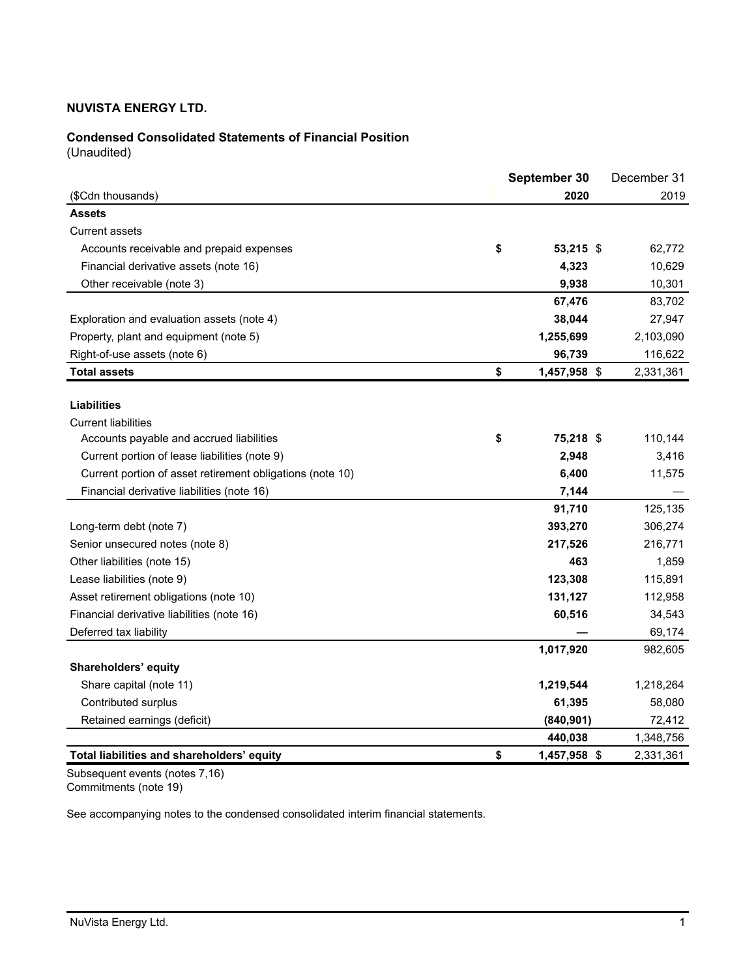# **Condensed Consolidated Statements of Financial Position**

(Unaudited)

|                                                           | September 30 |              |  |           |
|-----------------------------------------------------------|--------------|--------------|--|-----------|
| (\$Cdn thousands)                                         |              | 2020         |  | 2019      |
| <b>Assets</b>                                             |              |              |  |           |
| <b>Current assets</b>                                     |              |              |  |           |
| Accounts receivable and prepaid expenses                  | \$           | 53,215 \$    |  | 62,772    |
| Financial derivative assets (note 16)                     |              | 4,323        |  | 10,629    |
| Other receivable (note 3)                                 |              | 9,938        |  | 10,301    |
|                                                           |              | 67,476       |  | 83,702    |
| Exploration and evaluation assets (note 4)                |              | 38,044       |  | 27,947    |
| Property, plant and equipment (note 5)                    |              | 1,255,699    |  | 2,103,090 |
| Right-of-use assets (note 6)                              |              | 96,739       |  | 116,622   |
| <b>Total assets</b>                                       | \$           | 1,457,958 \$ |  | 2,331,361 |
|                                                           |              |              |  |           |
| <b>Liabilities</b>                                        |              |              |  |           |
| <b>Current liabilities</b>                                |              |              |  |           |
| Accounts payable and accrued liabilities                  | \$           | 75,218 \$    |  | 110,144   |
| Current portion of lease liabilities (note 9)             |              | 2,948        |  | 3,416     |
| Current portion of asset retirement obligations (note 10) |              | 6,400        |  | 11,575    |
| Financial derivative liabilities (note 16)                |              | 7,144        |  |           |
|                                                           |              | 91,710       |  | 125,135   |
| Long-term debt (note 7)                                   |              | 393,270      |  | 306,274   |
| Senior unsecured notes (note 8)                           |              | 217,526      |  | 216,771   |
| Other liabilities (note 15)                               |              | 463          |  | 1,859     |
| Lease liabilities (note 9)                                |              | 123,308      |  | 115,891   |
| Asset retirement obligations (note 10)                    |              | 131,127      |  | 112,958   |
| Financial derivative liabilities (note 16)                |              | 60,516       |  | 34,543    |
| Deferred tax liability                                    |              |              |  | 69,174    |
|                                                           |              | 1,017,920    |  | 982,605   |
| Shareholders' equity                                      |              |              |  |           |
| Share capital (note 11)                                   |              | 1,219,544    |  | 1,218,264 |
| Contributed surplus                                       |              | 61,395       |  | 58,080    |
| Retained earnings (deficit)                               |              | (840, 901)   |  | 72,412    |
|                                                           |              | 440,038      |  | 1,348,756 |
| Total liabilities and shareholders' equity                | \$           | 1,457,958 \$ |  | 2,331,361 |

Subsequent events (notes 7,16) Commitments (note 19)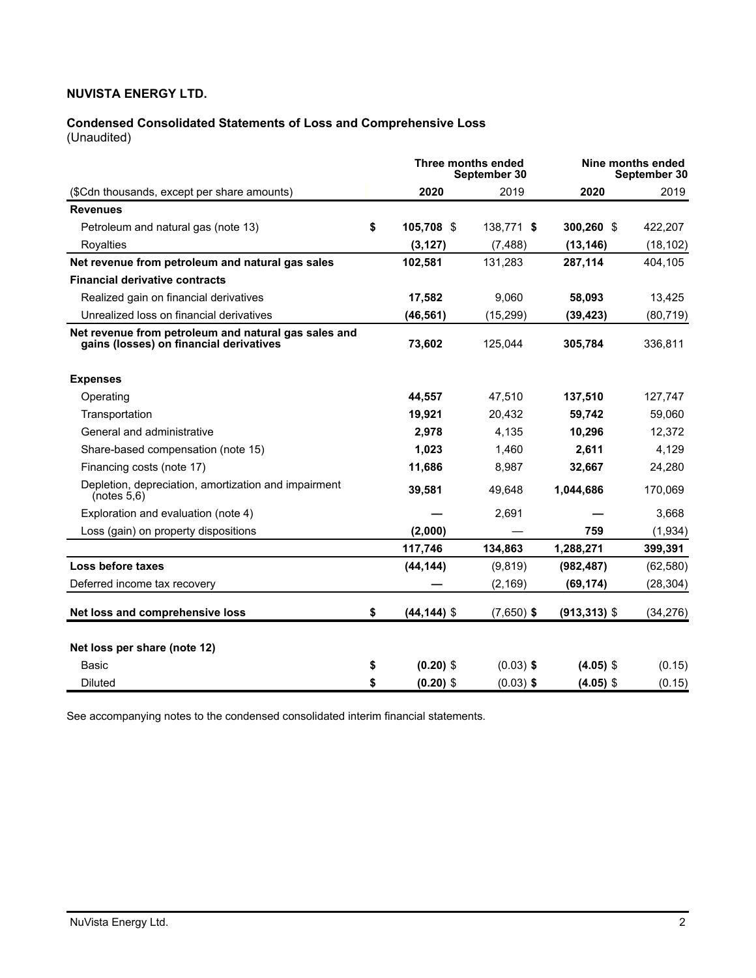# **Condensed Consolidated Statements of Loss and Comprehensive Loss**

(Unaudited)

|                                                                                                 |                      | Three months ended<br>September 30 |                 | Nine months ended<br>September 30 |  |
|-------------------------------------------------------------------------------------------------|----------------------|------------------------------------|-----------------|-----------------------------------|--|
| (\$Cdn thousands, except per share amounts)                                                     | 2020                 | 2019                               | 2020            | 2019                              |  |
| <b>Revenues</b>                                                                                 |                      |                                    |                 |                                   |  |
| Petroleum and natural gas (note 13)                                                             | \$<br>105,708 \$     | 138,771 \$                         | 300,260 \$      | 422,207                           |  |
| Rovalties                                                                                       | (3, 127)             | (7, 488)                           | (13, 146)       | (18, 102)                         |  |
| Net revenue from petroleum and natural gas sales                                                | 102,581              | 131,283                            | 287,114         | 404,105                           |  |
| <b>Financial derivative contracts</b>                                                           |                      |                                    |                 |                                   |  |
| Realized gain on financial derivatives                                                          | 17,582               | 9,060                              | 58,093          | 13,425                            |  |
| Unrealized loss on financial derivatives                                                        | (46, 561)            | (15, 299)                          | (39, 423)       | (80, 719)                         |  |
| Net revenue from petroleum and natural gas sales and<br>gains (losses) on financial derivatives | 73,602               | 125,044                            | 305,784         | 336,811                           |  |
| <b>Expenses</b>                                                                                 |                      |                                    |                 |                                   |  |
| Operating                                                                                       | 44,557               | 47,510                             | 137,510         | 127,747                           |  |
| Transportation                                                                                  | 19,921               | 20,432                             | 59,742          | 59,060                            |  |
| General and administrative                                                                      | 2,978                | 4,135                              | 10,296          | 12,372                            |  |
| Share-based compensation (note 15)                                                              | 1,023                | 1,460                              | 2,611           | 4,129                             |  |
| Financing costs (note 17)                                                                       | 11,686               | 8,987                              | 32,667          | 24,280                            |  |
| Depletion, depreciation, amortization and impairment<br>(notes 5,6)                             | 39,581               | 49,648                             | 1,044,686       | 170,069                           |  |
| Exploration and evaluation (note 4)                                                             |                      | 2,691                              |                 | 3,668                             |  |
| Loss (gain) on property dispositions                                                            | (2,000)              |                                    | 759             | (1,934)                           |  |
|                                                                                                 | 117,746              | 134,863                            | 1,288,271       | 399,391                           |  |
| Loss before taxes                                                                               | (44, 144)            | (9, 819)                           | (982, 487)      | (62, 580)                         |  |
| Deferred income tax recovery                                                                    |                      | (2, 169)                           | (69, 174)       | (28, 304)                         |  |
| Net loss and comprehensive loss                                                                 | \$<br>$(44, 144)$ \$ | $(7,650)$ \$                       | $(913, 313)$ \$ | (34, 276)                         |  |
| Net loss per share (note 12)                                                                    |                      |                                    |                 |                                   |  |
| <b>Basic</b>                                                                                    | \$<br>$(0.20)$ \$    | $(0.03)$ \$                        | $(4.05)$ \$     | (0.15)                            |  |
| <b>Diluted</b>                                                                                  | \$<br>$(0.20)$ \$    | $(0.03)$ \$                        | $(4.05)$ \$     | (0.15)                            |  |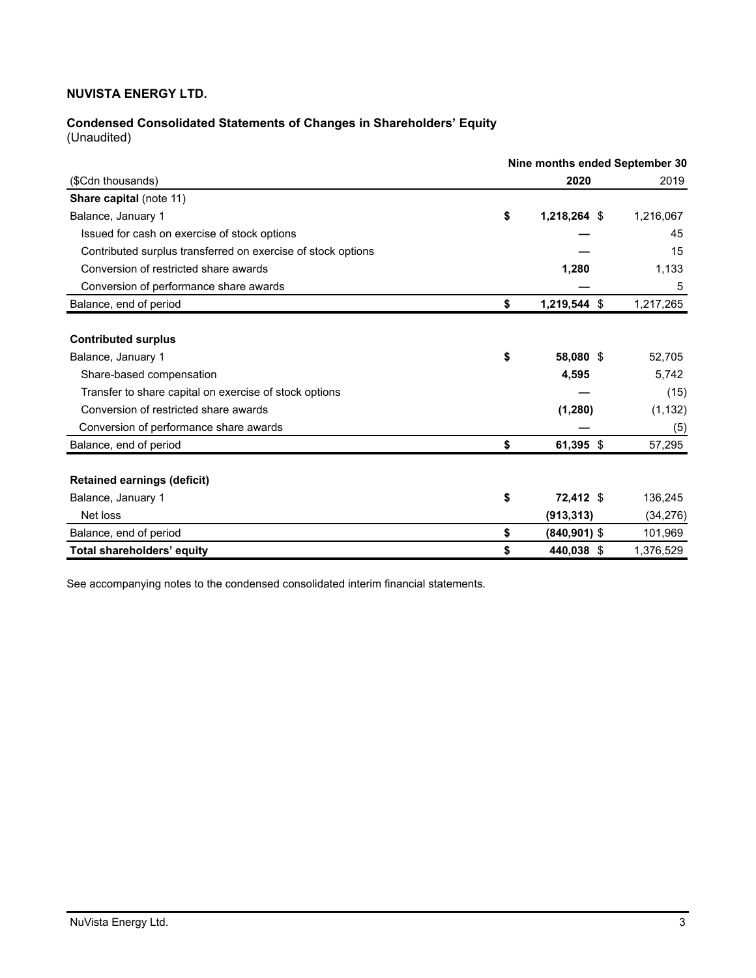# **Condensed Consolidated Statements of Changes in Shareholders' Equity**

(Unaudited)

|                                                              | Nine months ended September 30 |                 |           |  |  |  |  |
|--------------------------------------------------------------|--------------------------------|-----------------|-----------|--|--|--|--|
| (\$Cdn thousands)                                            |                                | 2020            | 2019      |  |  |  |  |
| Share capital (note 11)                                      |                                |                 |           |  |  |  |  |
| Balance, January 1                                           | \$                             | 1,218,264 \$    | 1,216,067 |  |  |  |  |
| Issued for cash on exercise of stock options                 |                                |                 | 45        |  |  |  |  |
| Contributed surplus transferred on exercise of stock options |                                |                 | 15        |  |  |  |  |
| Conversion of restricted share awards                        |                                | 1,280           | 1,133     |  |  |  |  |
| Conversion of performance share awards                       |                                |                 | 5         |  |  |  |  |
| Balance, end of period                                       | \$                             | 1,219,544 \$    | 1,217,265 |  |  |  |  |
|                                                              |                                |                 |           |  |  |  |  |
| <b>Contributed surplus</b>                                   |                                |                 |           |  |  |  |  |
| Balance, January 1                                           | \$                             | 58,080 \$       | 52,705    |  |  |  |  |
| Share-based compensation                                     |                                | 4,595           | 5,742     |  |  |  |  |
| Transfer to share capital on exercise of stock options       |                                |                 | (15)      |  |  |  |  |
| Conversion of restricted share awards                        |                                | (1,280)         | (1, 132)  |  |  |  |  |
| Conversion of performance share awards                       |                                |                 | (5)       |  |  |  |  |
| Balance, end of period                                       | \$                             | 61,395 \$       | 57,295    |  |  |  |  |
|                                                              |                                |                 |           |  |  |  |  |
| <b>Retained earnings (deficit)</b>                           |                                |                 |           |  |  |  |  |
| Balance, January 1                                           | \$                             | 72,412 \$       | 136,245   |  |  |  |  |
| Net loss                                                     |                                | (913, 313)      | (34, 276) |  |  |  |  |
| Balance, end of period                                       | \$                             | $(840, 901)$ \$ | 101,969   |  |  |  |  |
| <b>Total shareholders' equity</b>                            | \$                             | 440,038 \$      | 1,376,529 |  |  |  |  |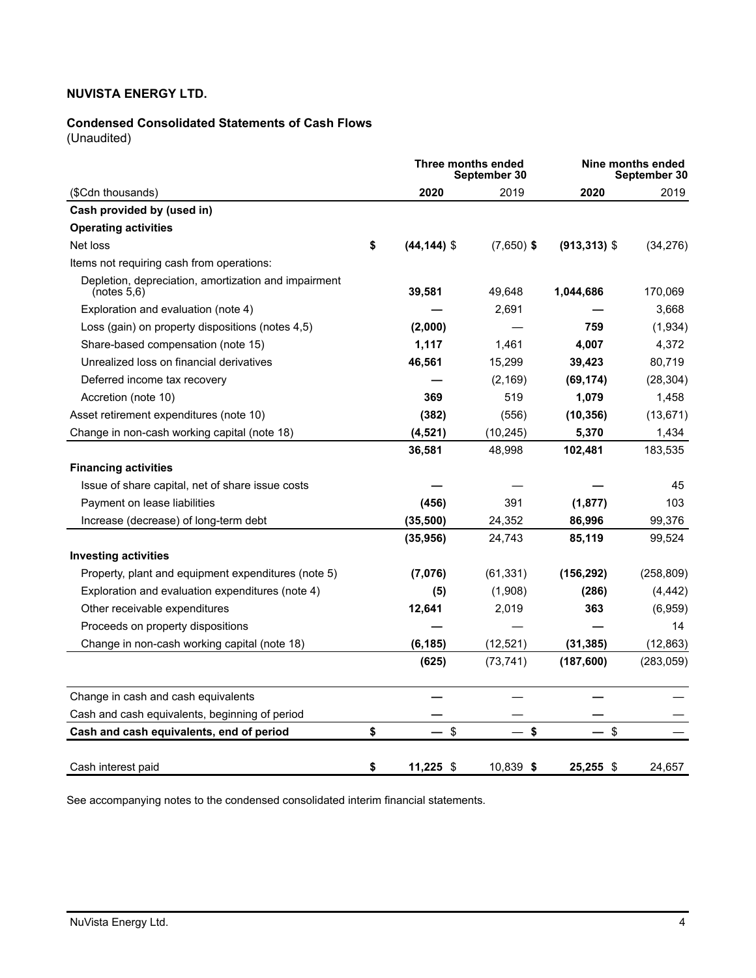# **Condensed Consolidated Statements of Cash Flows**

(Unaudited)

|                                                                     |                      | Three months ended<br>September 30 |                 | Nine months ended<br>September 30 |
|---------------------------------------------------------------------|----------------------|------------------------------------|-----------------|-----------------------------------|
| (\$Cdn thousands)                                                   | 2020                 | 2019                               | 2020            | 2019                              |
| Cash provided by (used in)                                          |                      |                                    |                 |                                   |
| <b>Operating activities</b>                                         |                      |                                    |                 |                                   |
| Net loss                                                            | \$<br>$(44, 144)$ \$ | $(7,650)$ \$                       | $(913, 313)$ \$ | (34, 276)                         |
| Items not requiring cash from operations:                           |                      |                                    |                 |                                   |
| Depletion, depreciation, amortization and impairment<br>(notes 5,6) | 39,581               | 49,648                             | 1,044,686       | 170,069                           |
| Exploration and evaluation (note 4)                                 |                      | 2,691                              |                 | 3,668                             |
| Loss (gain) on property dispositions (notes 4,5)                    | (2,000)              |                                    | 759             | (1,934)                           |
| Share-based compensation (note 15)                                  | 1,117                | 1,461                              | 4,007           | 4,372                             |
| Unrealized loss on financial derivatives                            | 46,561               | 15,299                             | 39,423          | 80,719                            |
| Deferred income tax recovery                                        |                      | (2, 169)                           | (69, 174)       | (28, 304)                         |
| Accretion (note 10)                                                 | 369                  | 519                                | 1,079           | 1,458                             |
| Asset retirement expenditures (note 10)                             | (382)                | (556)                              | (10, 356)       | (13, 671)                         |
| Change in non-cash working capital (note 18)                        | (4, 521)             | (10, 245)                          | 5,370           | 1,434                             |
|                                                                     | 36,581               | 48,998                             | 102,481         | 183,535                           |
| <b>Financing activities</b>                                         |                      |                                    |                 |                                   |
| Issue of share capital, net of share issue costs                    |                      |                                    |                 | 45                                |
| Payment on lease liabilities                                        | (456)                | 391                                | (1, 877)        | 103                               |
| Increase (decrease) of long-term debt                               | (35,500)             | 24,352                             | 86,996          | 99,376                            |
|                                                                     | (35, 956)            | 24,743                             | 85,119          | 99,524                            |
| <b>Investing activities</b>                                         |                      |                                    |                 |                                   |
| Property, plant and equipment expenditures (note 5)                 | (7,076)              | (61, 331)                          | (156, 292)      | (258, 809)                        |
| Exploration and evaluation expenditures (note 4)                    | (5)                  | (1,908)                            | (286)           | (4, 442)                          |
| Other receivable expenditures                                       | 12,641               | 2,019                              | 363             | (6,959)                           |
| Proceeds on property dispositions                                   |                      |                                    |                 | 14                                |
| Change in non-cash working capital (note 18)                        | (6, 185)             | (12, 521)                          | (31, 385)       | (12, 863)                         |
|                                                                     | (625)                | (73, 741)                          | (187, 600)      | (283, 059)                        |
| Change in cash and cash equivalents                                 |                      |                                    |                 |                                   |
| Cash and cash equivalents, beginning of period                      |                      |                                    |                 |                                   |
| Cash and cash equivalents, end of period                            | \$<br>\$             | \$                                 | \$              |                                   |
| Cash interest paid                                                  | \$<br>11,225 \$      | 10,839 \$                          | 25,255 \$       | 24,657                            |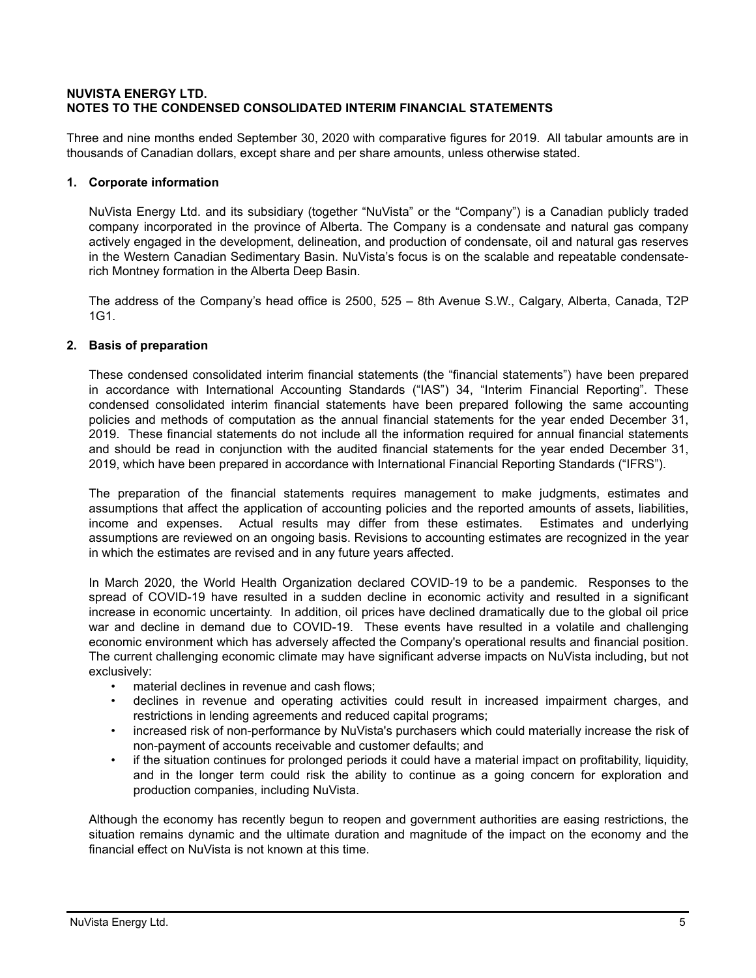# **NUVISTA ENERGY LTD. NOTES TO THE CONDENSED CONSOLIDATED INTERIM FINANCIAL STATEMENTS**

Three and nine months ended September 30, 2020 with comparative figures for 2019. All tabular amounts are in thousands of Canadian dollars, except share and per share amounts, unless otherwise stated.

# **1. Corporate information**

NuVista Energy Ltd. and its subsidiary (together "NuVista" or the "Company") is a Canadian publicly traded company incorporated in the province of Alberta. The Company is a condensate and natural gas company actively engaged in the development, delineation, and production of condensate, oil and natural gas reserves in the Western Canadian Sedimentary Basin. NuVista's focus is on the scalable and repeatable condensaterich Montney formation in the Alberta Deep Basin.

The address of the Company's head office is 2500, 525 – 8th Avenue S.W., Calgary, Alberta, Canada, T2P 1G1.

# **2. Basis of preparation**

These condensed consolidated interim financial statements (the "financial statements") have been prepared in accordance with International Accounting Standards ("IAS") 34, "Interim Financial Reporting". These condensed consolidated interim financial statements have been prepared following the same accounting policies and methods of computation as the annual financial statements for the year ended December 31, 2019. These financial statements do not include all the information required for annual financial statements and should be read in conjunction with the audited financial statements for the year ended December 31, 2019, which have been prepared in accordance with International Financial Reporting Standards ("IFRS").

The preparation of the financial statements requires management to make judgments, estimates and assumptions that affect the application of accounting policies and the reported amounts of assets, liabilities, income and expenses. Actual results may differ from these estimates. Estimates and underlying assumptions are reviewed on an ongoing basis. Revisions to accounting estimates are recognized in the year in which the estimates are revised and in any future years affected.

In March 2020, the World Health Organization declared COVID-19 to be a pandemic. Responses to the spread of COVID-19 have resulted in a sudden decline in economic activity and resulted in a significant increase in economic uncertainty. In addition, oil prices have declined dramatically due to the global oil price war and decline in demand due to COVID-19. These events have resulted in a volatile and challenging economic environment which has adversely affected the Company's operational results and financial position. The current challenging economic climate may have significant adverse impacts on NuVista including, but not exclusively:

- material declines in revenue and cash flows;
- declines in revenue and operating activities could result in increased impairment charges, and restrictions in lending agreements and reduced capital programs;
- increased risk of non-performance by NuVista's purchasers which could materially increase the risk of non-payment of accounts receivable and customer defaults; and
- if the situation continues for prolonged periods it could have a material impact on profitability, liquidity, and in the longer term could risk the ability to continue as a going concern for exploration and production companies, including NuVista.

Although the economy has recently begun to reopen and government authorities are easing restrictions, the situation remains dynamic and the ultimate duration and magnitude of the impact on the economy and the financial effect on NuVista is not known at this time.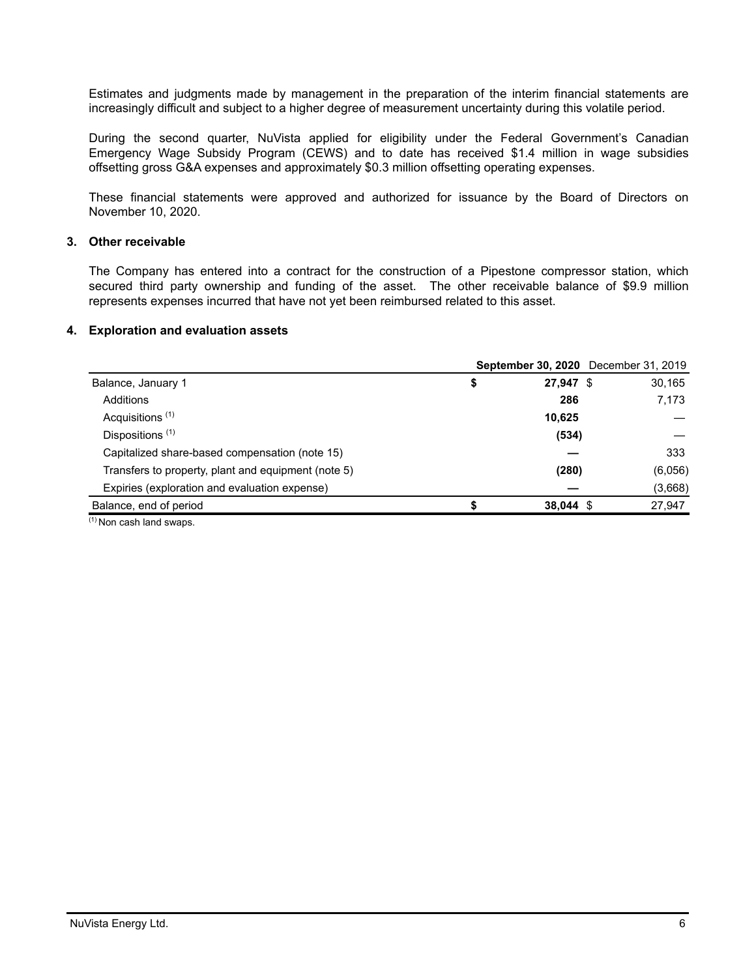Estimates and judgments made by management in the preparation of the interim financial statements are increasingly difficult and subject to a higher degree of measurement uncertainty during this volatile period.

During the second quarter, NuVista applied for eligibility under the Federal Government's Canadian Emergency Wage Subsidy Program (CEWS) and to date has received \$1.4 million in wage subsidies offsetting gross G&A expenses and approximately \$0.3 million offsetting operating expenses.

These financial statements were approved and authorized for issuance by the Board of Directors on November 10, 2020.

# **3. Other receivable**

The Company has entered into a contract for the construction of a Pipestone compressor station, which secured third party ownership and funding of the asset. The other receivable balance of \$9.9 million represents expenses incurred that have not yet been reimbursed related to this asset.

#### **4. Exploration and evaluation assets**

|                                                     |                 | <b>September 30, 2020</b> December 31, 2019 |
|-----------------------------------------------------|-----------------|---------------------------------------------|
| Balance, January 1                                  | \$<br>27,947 \$ | 30,165                                      |
| Additions                                           | 286             | 7,173                                       |
| Acquisitions <sup>(1)</sup>                         | 10,625          |                                             |
| Dispositions <sup>(1)</sup>                         | (534)           |                                             |
| Capitalized share-based compensation (note 15)      |                 | 333                                         |
| Transfers to property, plant and equipment (note 5) | (280)           | (6,056)                                     |
| Expiries (exploration and evaluation expense)       |                 | (3,668)                                     |
| Balance, end of period                              | $38,044$ \$     | 27,947                                      |

 $(1)$  Non cash land swaps.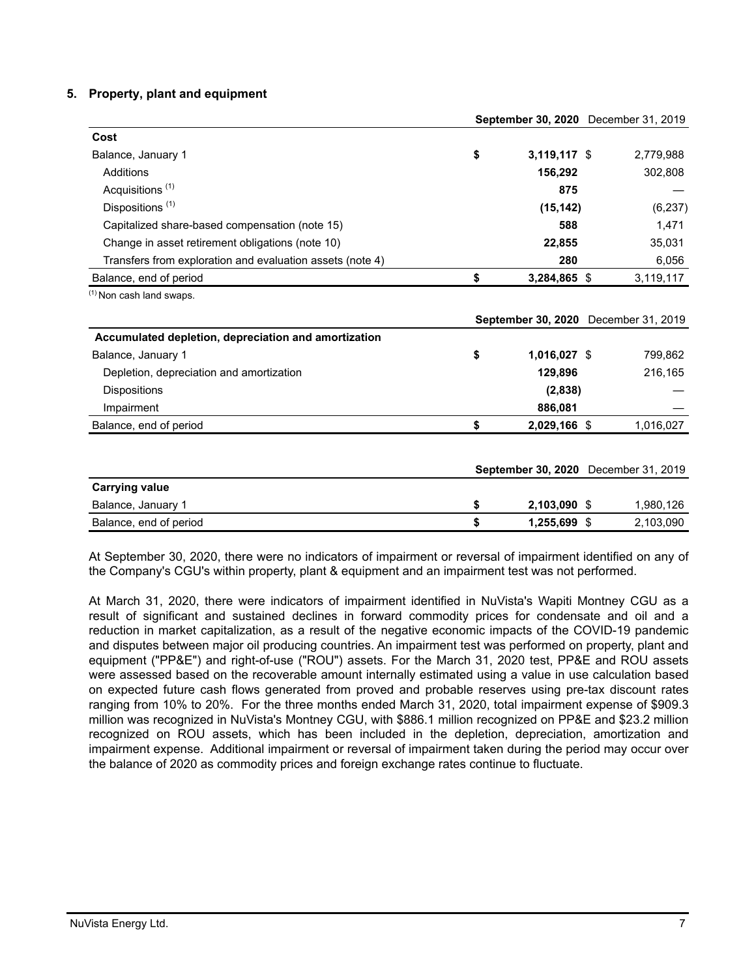# **5. Property, plant and equipment**

|                                                           | September 30, 2020 December 31, 2019 |                |  |                                      |
|-----------------------------------------------------------|--------------------------------------|----------------|--|--------------------------------------|
| Cost                                                      |                                      |                |  |                                      |
| Balance, January 1                                        | \$                                   | $3,119,117$ \$ |  | 2,779,988                            |
| Additions                                                 |                                      | 156,292        |  | 302,808                              |
| Acquisitions <sup>(1)</sup>                               |                                      | 875            |  |                                      |
| Dispositions <sup>(1)</sup>                               |                                      | (15, 142)      |  | (6, 237)                             |
| Capitalized share-based compensation (note 15)            |                                      | 588            |  | 1,471                                |
| Change in asset retirement obligations (note 10)          |                                      | 22,855         |  | 35,031                               |
| Transfers from exploration and evaluation assets (note 4) |                                      | 280            |  | 6,056                                |
| Balance, end of period                                    | \$                                   | 3,284,865 \$   |  | 3,119,117                            |
| <sup>(1)</sup> Non cash land swaps.                       |                                      |                |  |                                      |
|                                                           |                                      |                |  | September 30, 2020 December 31, 2019 |
| Accumulated depletion, depreciation and amortization      |                                      |                |  |                                      |
| Balance, January 1                                        | \$                                   | 1,016,027 \$   |  | 799,862                              |
| Depletion, depreciation and amortization                  |                                      | 129,896        |  | 216,165                              |
| <b>Dispositions</b>                                       |                                      | (2,838)        |  |                                      |
| Impairment                                                |                                      | 886,081        |  |                                      |
| Balance, end of period                                    | \$                                   | 2,029,166 \$   |  | 1,016,027                            |
|                                                           |                                      |                |  |                                      |
|                                                           |                                      |                |  | September 30, 2020 December 31, 2019 |
| <b>Carrying value</b>                                     |                                      |                |  |                                      |
| Balance, January 1                                        | \$                                   | 2,103,090 \$   |  | 1,980,126                            |
| Balance, end of period                                    | \$                                   | 1,255,699 \$   |  | 2,103,090                            |

At September 30, 2020, there were no indicators of impairment or reversal of impairment identified on any of the Company's CGU's within property, plant & equipment and an impairment test was not performed.

At March 31, 2020, there were indicators of impairment identified in NuVista's Wapiti Montney CGU as a result of significant and sustained declines in forward commodity prices for condensate and oil and a reduction in market capitalization, as a result of the negative economic impacts of the COVID-19 pandemic and disputes between major oil producing countries. An impairment test was performed on property, plant and equipment ("PP&E") and right-of-use ("ROU") assets. For the March 31, 2020 test, PP&E and ROU assets were assessed based on the recoverable amount internally estimated using a value in use calculation based on expected future cash flows generated from proved and probable reserves using pre-tax discount rates ranging from 10% to 20%. For the three months ended March 31, 2020, total impairment expense of \$909.3 million was recognized in NuVista's Montney CGU, with \$886.1 million recognized on PP&E and \$23.2 million recognized on ROU assets, which has been included in the depletion, depreciation, amortization and impairment expense. Additional impairment or reversal of impairment taken during the period may occur over the balance of 2020 as commodity prices and foreign exchange rates continue to fluctuate.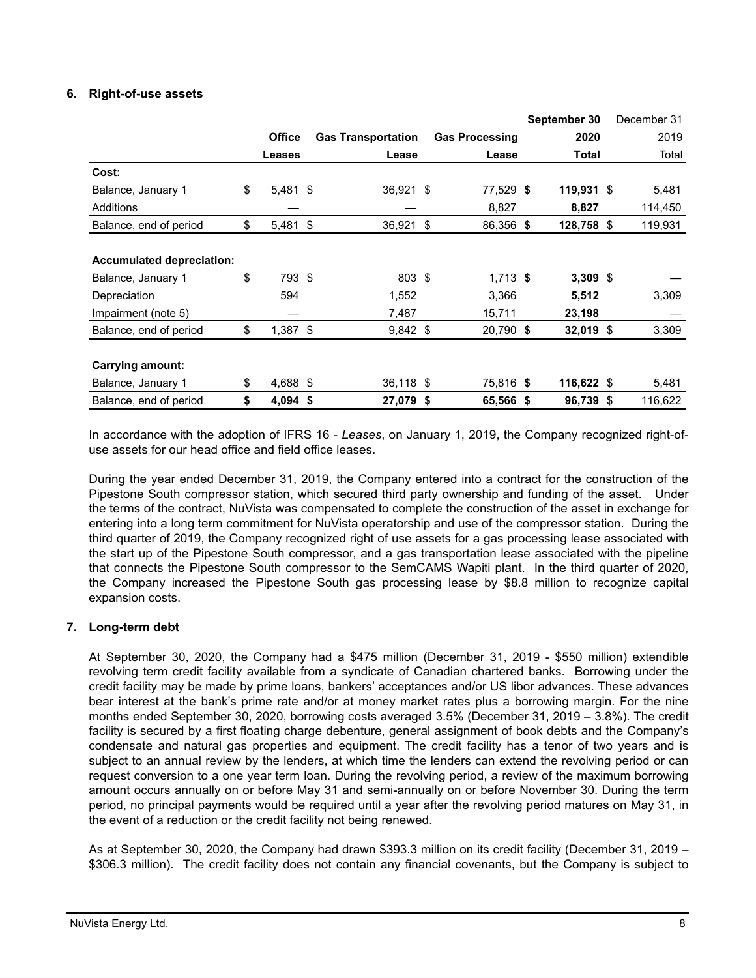# **6. Right-of-use assets**

|                                  |                  |                           |     |                       | September 30 | December 31   |
|----------------------------------|------------------|---------------------------|-----|-----------------------|--------------|---------------|
|                                  | <b>Office</b>    | <b>Gas Transportation</b> |     | <b>Gas Processing</b> | 2020         | 2019          |
|                                  | <b>Leases</b>    | Lease                     |     | Lease                 | Total        | Total         |
| Cost:                            |                  |                           |     |                       |              |               |
| Balance, January 1               | \$<br>$5,481$ \$ | 36,921 \$                 |     | 77,529 \$             | $119,931$ \$ | 5,481         |
| Additions                        |                  |                           |     | 8,827                 | 8,827        | 114,450       |
| Balance, end of period           | \$<br>$5,481$ \$ | 36,921                    | -\$ | 86,356 \$             | 128,758      | \$<br>119,931 |
|                                  |                  |                           |     |                       |              |               |
| <b>Accumulated depreciation:</b> |                  |                           |     |                       |              |               |
| Balance, January 1               | \$<br>793 \$     | 803 \$                    |     | $1,713$ \$            | $3,309$ \$   |               |
| Depreciation                     | 594              | 1,552                     |     | 3,366                 | 5,512        | 3,309         |
| Impairment (note 5)              |                  | 7,487                     |     | 15,711                | 23,198       |               |
| Balance, end of period           | \$<br>$1,387$ \$ | $9,842$ \$                |     | 20,790 \$             | $32,019$ \$  | 3,309         |
|                                  |                  |                           |     |                       |              |               |
| Carrying amount:                 |                  |                           |     |                       |              |               |
| Balance, January 1               | \$<br>4,688 \$   | 36,118 \$                 |     | 75,816 \$             | 116,622 \$   | 5,481         |
| Balance, end of period           | \$<br>$4,094$ \$ | 27,079 \$                 |     | 65,566 \$             | 96,739 \$    | 116,622       |

In accordance with the adoption of IFRS 16 - *Leases*, on January 1, 2019, the Company recognized right-ofuse assets for our head office and field office leases.

During the year ended December 31, 2019, the Company entered into a contract for the construction of the Pipestone South compressor station, which secured third party ownership and funding of the asset. Under the terms of the contract, NuVista was compensated to complete the construction of the asset in exchange for entering into a long term commitment for NuVista operatorship and use of the compressor station. During the third quarter of 2019, the Company recognized right of use assets for a gas processing lease associated with the start up of the Pipestone South compressor, and a gas transportation lease associated with the pipeline that connects the Pipestone South compressor to the SemCAMS Wapiti plant. In the third quarter of 2020, the Company increased the Pipestone South gas processing lease by \$8.8 million to recognize capital expansion costs.

# **7. Long-term debt**

At September 30, 2020, the Company had a \$475 million (December 31, 2019 - \$550 million) extendible revolving term credit facility available from a syndicate of Canadian chartered banks. Borrowing under the credit facility may be made by prime loans, bankers' acceptances and/or US libor advances. These advances bear interest at the bank's prime rate and/or at money market rates plus a borrowing margin. For the nine months ended September 30, 2020, borrowing costs averaged 3.5% (December 31, 2019 – 3.8%). The credit facility is secured by a first floating charge debenture, general assignment of book debts and the Company's condensate and natural gas properties and equipment. The credit facility has a tenor of two years and is subject to an annual review by the lenders, at which time the lenders can extend the revolving period or can request conversion to a one year term loan. During the revolving period, a review of the maximum borrowing amount occurs annually on or before May 31 and semi-annually on or before November 30. During the term period, no principal payments would be required until a year after the revolving period matures on May 31, in the event of a reduction or the credit facility not being renewed.

As at September 30, 2020, the Company had drawn \$393.3 million on its credit facility (December 31, 2019 – \$306.3 million). The credit facility does not contain any financial covenants, but the Company is subject to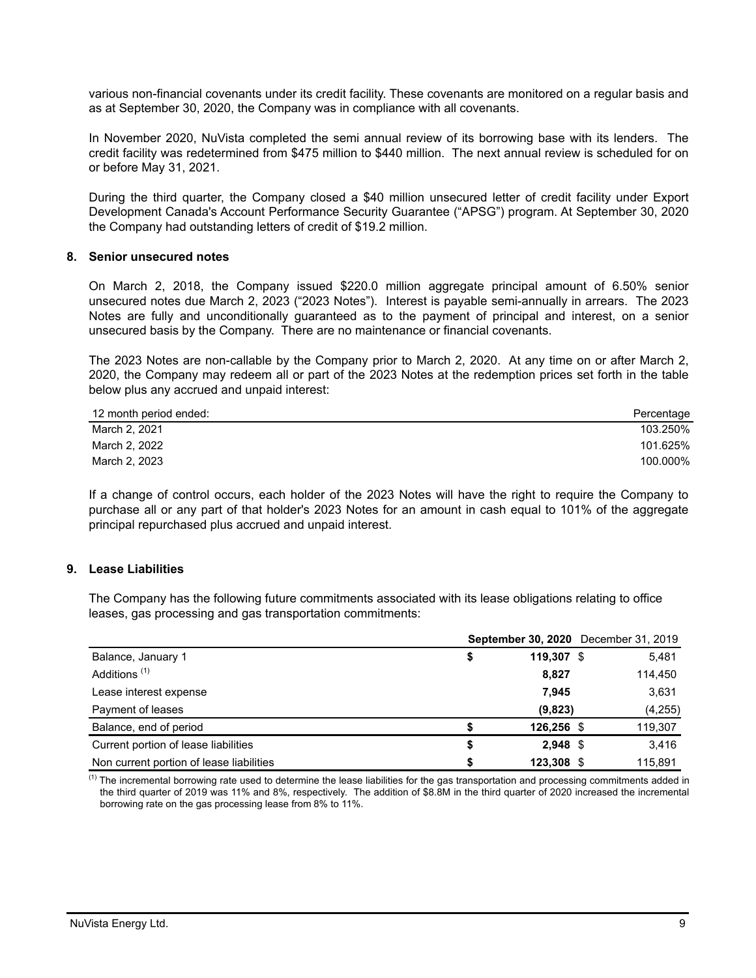various non-financial covenants under its credit facility. These covenants are monitored on a regular basis and as at September 30, 2020, the Company was in compliance with all covenants.

In November 2020, NuVista completed the semi annual review of its borrowing base with its lenders. The credit facility was redetermined from \$475 million to \$440 million. The next annual review is scheduled for on or before May 31, 2021.

During the third quarter, the Company closed a \$40 million unsecured letter of credit facility under Export Development Canada's Account Performance Security Guarantee ("APSG") program. At September 30, 2020 the Company had outstanding letters of credit of \$19.2 million.

# **8. Senior unsecured notes**

On March 2, 2018, the Company issued \$220.0 million aggregate principal amount of 6.50% senior unsecured notes due March 2, 2023 ("2023 Notes"). Interest is payable semi-annually in arrears. The 2023 Notes are fully and unconditionally guaranteed as to the payment of principal and interest, on a senior unsecured basis by the Company. There are no maintenance or financial covenants.

The 2023 Notes are non-callable by the Company prior to March 2, 2020. At any time on or after March 2, 2020, the Company may redeem all or part of the 2023 Notes at the redemption prices set forth in the table below plus any accrued and unpaid interest:

| 12 month period ended: | Percentage |
|------------------------|------------|
| March 2, 2021          | 103.250%   |
| March 2, 2022          | 101.625%   |
| March 2, 2023          | 100.000%   |

If a change of control occurs, each holder of the 2023 Notes will have the right to require the Company to purchase all or any part of that holder's 2023 Notes for an amount in cash equal to 101% of the aggregate principal repurchased plus accrued and unpaid interest.

# **9. Lease Liabilities**

 The Company has the following future commitments associated with its lease obligations relating to office leases, gas processing and gas transportation commitments:

|                                          |    |            | <b>September 30, 2020</b> December 31, 2019 |
|------------------------------------------|----|------------|---------------------------------------------|
| Balance, January 1                       | S  | 119.307 \$ | 5,481                                       |
| Additions <sup>(1)</sup>                 |    | 8,827      | 114,450                                     |
| Lease interest expense                   |    | 7,945      | 3,631                                       |
| Payment of leases                        |    | (9,823)    | (4, 255)                                    |
| Balance, end of period                   |    | 126,256 \$ | 119,307                                     |
| Current portion of lease liabilities     | \$ | $2.948$ \$ | 3.416                                       |
| Non current portion of lease liabilities | S  | 123,308 \$ | 115.891                                     |

 $<sup>(1)</sup>$  The incremental borrowing rate used to determine the lease liabilities for the gas transportation and processing commitments added in</sup> the third quarter of 2019 was 11% and 8%, respectively. The addition of \$8.8M in the third quarter of 2020 increased the incremental borrowing rate on the gas processing lease from 8% to 11%.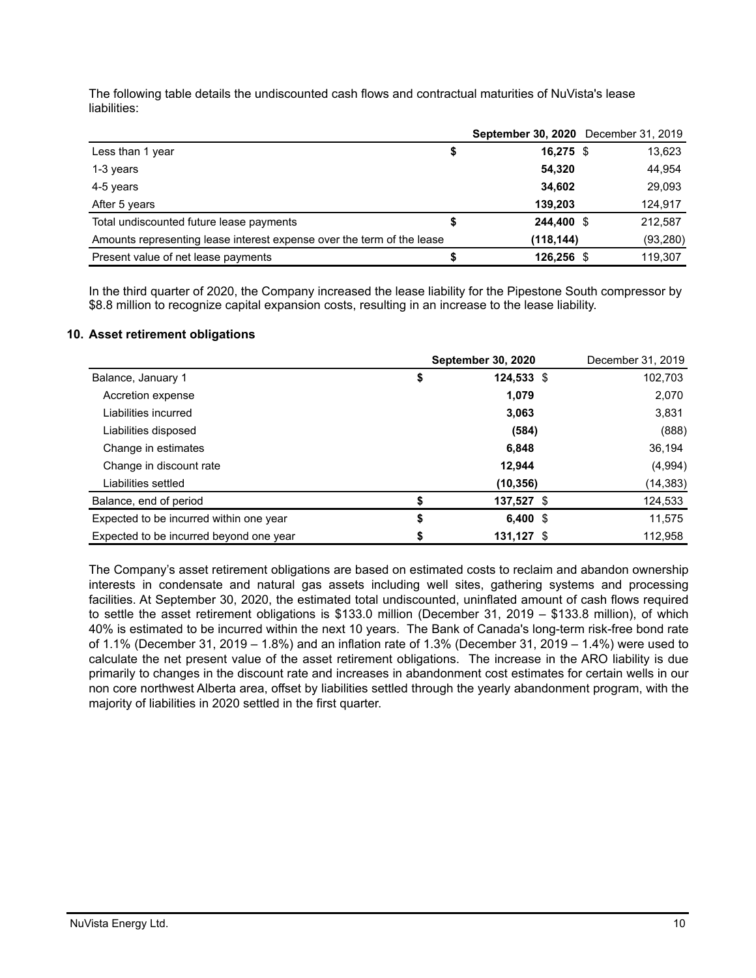The following table details the undiscounted cash flows and contractual maturities of NuVista's lease liabilities:

|                                                                        | September 30, 2020 December 31, 2019 |           |
|------------------------------------------------------------------------|--------------------------------------|-----------|
| Less than 1 year<br>Φ                                                  | $16,275$ \$                          | 13,623    |
| 1-3 years                                                              | 54.320                               | 44,954    |
| 4-5 years                                                              | 34,602                               | 29,093    |
| After 5 years                                                          | 139,203                              | 124,917   |
| Total undiscounted future lease payments                               | 244.400 \$                           | 212,587   |
| Amounts representing lease interest expense over the term of the lease | (118, 144)                           | (93, 280) |
| Present value of net lease payments                                    | 126,256 \$                           | 119,307   |

In the third quarter of 2020, the Company increased the lease liability for the Pipestone South compressor by \$8.8 million to recognize capital expansion costs, resulting in an increase to the lease liability.

## **10. Asset retirement obligations**

|                                         | <b>September 30, 2020</b> | December 31, 2019 |           |
|-----------------------------------------|---------------------------|-------------------|-----------|
| Balance, January 1                      | \$                        | $124,533$ \$      | 102,703   |
| Accretion expense                       |                           | 1,079             | 2,070     |
| Liabilities incurred                    |                           | 3,063             | 3,831     |
| Liabilities disposed                    |                           | (584)             | (888)     |
| Change in estimates                     |                           | 6,848             | 36,194    |
| Change in discount rate                 |                           | 12.944            | (4,994)   |
| Liabilities settled                     |                           | (10, 356)         | (14, 383) |
| Balance, end of period                  |                           | 137,527 \$        | 124,533   |
| Expected to be incurred within one year | \$                        | 6,400 $$$         | 11,575    |
| Expected to be incurred beyond one year |                           | 131,127 \$        | 112,958   |

The Company's asset retirement obligations are based on estimated costs to reclaim and abandon ownership interests in condensate and natural gas assets including well sites, gathering systems and processing facilities. At September 30, 2020, the estimated total undiscounted, uninflated amount of cash flows required to settle the asset retirement obligations is \$133.0 million (December 31, 2019 – \$133.8 million), of which 40% is estimated to be incurred within the next 10 years. The Bank of Canada's long-term risk-free bond rate of 1.1% (December 31, 2019 – 1.8%) and an inflation rate of 1.3% (December 31, 2019 – 1.4%) were used to calculate the net present value of the asset retirement obligations. The increase in the ARO liability is due primarily to changes in the discount rate and increases in abandonment cost estimates for certain wells in our non core northwest Alberta area, offset by liabilities settled through the yearly abandonment program, with the majority of liabilities in 2020 settled in the first quarter.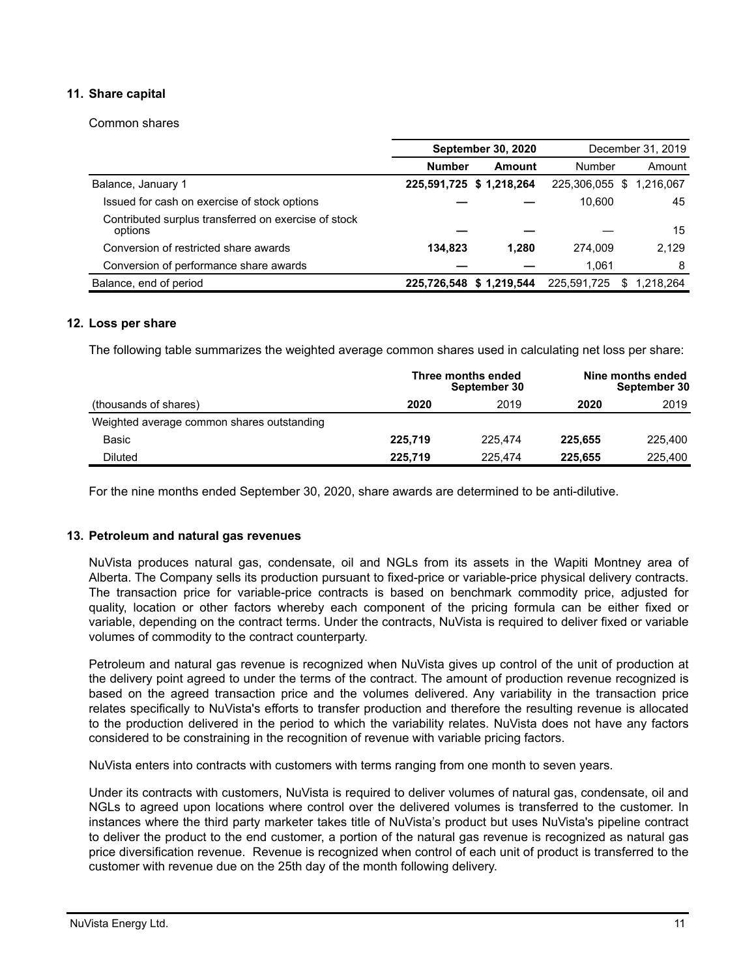# **11. Share capital**

Common shares

|                                                                 |               | <b>September 30, 2020</b> |                | December 31, 2019 |
|-----------------------------------------------------------------|---------------|---------------------------|----------------|-------------------|
|                                                                 | <b>Number</b> | Amount                    | Number         | Amount            |
| Balance, January 1                                              |               | 225,591,725 \$ 1,218,264  | 225,306,055 \$ | 1.216.067         |
| Issued for cash on exercise of stock options                    |               |                           | 10.600         | 45                |
| Contributed surplus transferred on exercise of stock<br>options |               |                           |                | 15                |
| Conversion of restricted share awards                           | 134.823       | 1.280                     | 274.009        | 2.129             |
| Conversion of performance share awards                          |               |                           | 1.061          | 8                 |
| Balance, end of period                                          |               | 225,726,548 \$1,219,544   | 225,591,725    | 1.218.264<br>S.   |

#### **12. Loss per share**

The following table summarizes the weighted average common shares used in calculating net loss per share:

|                                            |         | Three months ended<br>September 30 | Nine months ended<br>September 30 |         |  |  |  |
|--------------------------------------------|---------|------------------------------------|-----------------------------------|---------|--|--|--|
| (thousands of shares)                      | 2020    | 2019                               | 2020                              | 2019    |  |  |  |
| Weighted average common shares outstanding |         |                                    |                                   |         |  |  |  |
| Basic                                      | 225.719 | 225,474                            | 225.655                           | 225,400 |  |  |  |
| Diluted                                    | 225.719 | 225,474                            | 225.655                           | 225,400 |  |  |  |

For the nine months ended September 30, 2020, share awards are determined to be anti-dilutive.

#### **13. Petroleum and natural gas revenues**

NuVista produces natural gas, condensate, oil and NGLs from its assets in the Wapiti Montney area of Alberta. The Company sells its production pursuant to fixed-price or variable-price physical delivery contracts. The transaction price for variable-price contracts is based on benchmark commodity price, adjusted for quality, location or other factors whereby each component of the pricing formula can be either fixed or variable, depending on the contract terms. Under the contracts, NuVista is required to deliver fixed or variable volumes of commodity to the contract counterparty.

Petroleum and natural gas revenue is recognized when NuVista gives up control of the unit of production at the delivery point agreed to under the terms of the contract. The amount of production revenue recognized is based on the agreed transaction price and the volumes delivered. Any variability in the transaction price relates specifically to NuVista's efforts to transfer production and therefore the resulting revenue is allocated to the production delivered in the period to which the variability relates. NuVista does not have any factors considered to be constraining in the recognition of revenue with variable pricing factors.

NuVista enters into contracts with customers with terms ranging from one month to seven years.

Under its contracts with customers, NuVista is required to deliver volumes of natural gas, condensate, oil and NGLs to agreed upon locations where control over the delivered volumes is transferred to the customer. In instances where the third party marketer takes title of NuVista's product but uses NuVista's pipeline contract to deliver the product to the end customer, a portion of the natural gas revenue is recognized as natural gas price diversification revenue. Revenue is recognized when control of each unit of product is transferred to the customer with revenue due on the 25th day of the month following delivery.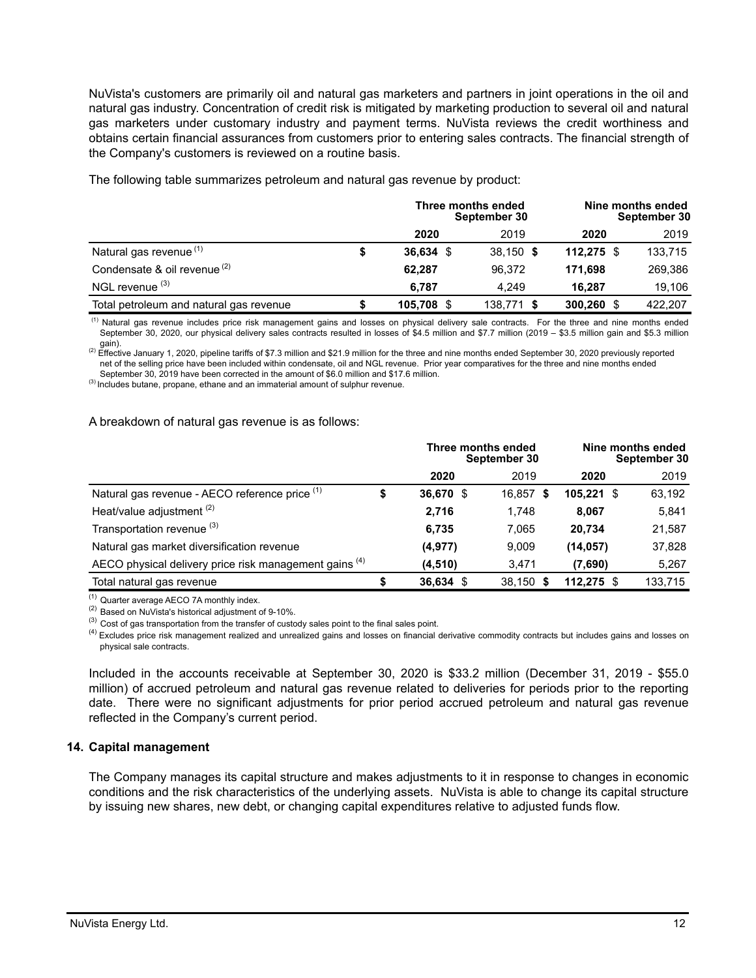NuVista's customers are primarily oil and natural gas marketers and partners in joint operations in the oil and natural gas industry. Concentration of credit risk is mitigated by marketing production to several oil and natural gas marketers under customary industry and payment terms. NuVista reviews the credit worthiness and obtains certain financial assurances from customers prior to entering sales contracts. The financial strength of the Company's customers is reviewed on a routine basis.

**Three months ended September 30 Nine months ended September 30 2020** 2019 **2020** 2019 Natural gas revenue (1) **\$ 36,634** \$ 38,150 **\$ 112,275** \$ 133,715 Condensate & oil revenue (2) **62,287** 96,372 **171,698** 269,386 NGL revenue (3) **6,787** 4,249 **16,287** 19,106 Total petroleum and natural gas revenue **\$ 105,708** \$ 138,771 **\$ 300,260** \$ 422,207

The following table summarizes petroleum and natural gas revenue by product:

<sup>(1)</sup> Natural gas revenue includes price risk management gains and losses on physical delivery sale contracts. For the three and nine months ended September 30, 2020, our physical delivery sales contracts resulted in losses of \$4.5 million and \$7.7 million (2019 – \$3.5 million gain and \$5.3 million gain).

<sup>(2)</sup> Effective January 1, 2020, pipeline tariffs of \$7.3 million and \$21.9 million for the three and nine months ended September 30, 2020 previously reported net of the selling price have been included within condensate, oil and NGL revenue. Prior year comparatives for the three and nine months ended September 30, 2019 have been corrected in the amount of \$6.0 million and \$17.6 million.

(3) Includes butane, propane, ethane and an immaterial amount of sulphur revenue.

#### A breakdown of natural gas revenue is as follows:

|                                                        |        | Three months ended | September 30 | Nine months ended<br>September 30 |         |  |  |
|--------------------------------------------------------|--------|--------------------|--------------|-----------------------------------|---------|--|--|
|                                                        |        | 2020               | 2019         | 2020                              | 2019    |  |  |
| Natural gas revenue - AECO reference price (1)         | œ<br>⊅ | 36,670 \$          | 16,857 \$    | 105.221<br>- \$                   | 63,192  |  |  |
| Heat/value adjustment <sup>(2)</sup>                   |        | 2,716              | 1.748        | 8.067                             | 5,841   |  |  |
| Transportation revenue (3)                             |        | 6,735              | 7.065        | 20.734                            | 21,587  |  |  |
| Natural gas market diversification revenue             |        | (4,977)            | 9,009        | (14, 057)                         | 37,828  |  |  |
| AECO physical delivery price risk management gains (4) |        | (4, 510)           | 3,471        | (7,690)                           | 5,267   |  |  |
| Total natural gas revenue                              |        | $36,634$ \$        | 38,150 \$    | $112.275$ \$                      | 133,715 |  |  |

(1) Quarter average AECO 7A monthly index.

(2) Based on NuVista's historical adjustment of 9-10%.

 $^{(3)}$  Cost of gas transportation from the transfer of custody sales point to the final sales point.

<sup>(4)</sup> Excludes price risk management realized and unrealized gains and losses on financial derivative commodity contracts but includes gains and losses on physical sale contracts.

Included in the accounts receivable at September 30, 2020 is \$33.2 million (December 31, 2019 - \$55.0 million) of accrued petroleum and natural gas revenue related to deliveries for periods prior to the reporting date. There were no significant adjustments for prior period accrued petroleum and natural gas revenue reflected in the Company's current period.

#### **14. Capital management**

The Company manages its capital structure and makes adjustments to it in response to changes in economic conditions and the risk characteristics of the underlying assets. NuVista is able to change its capital structure by issuing new shares, new debt, or changing capital expenditures relative to adjusted funds flow.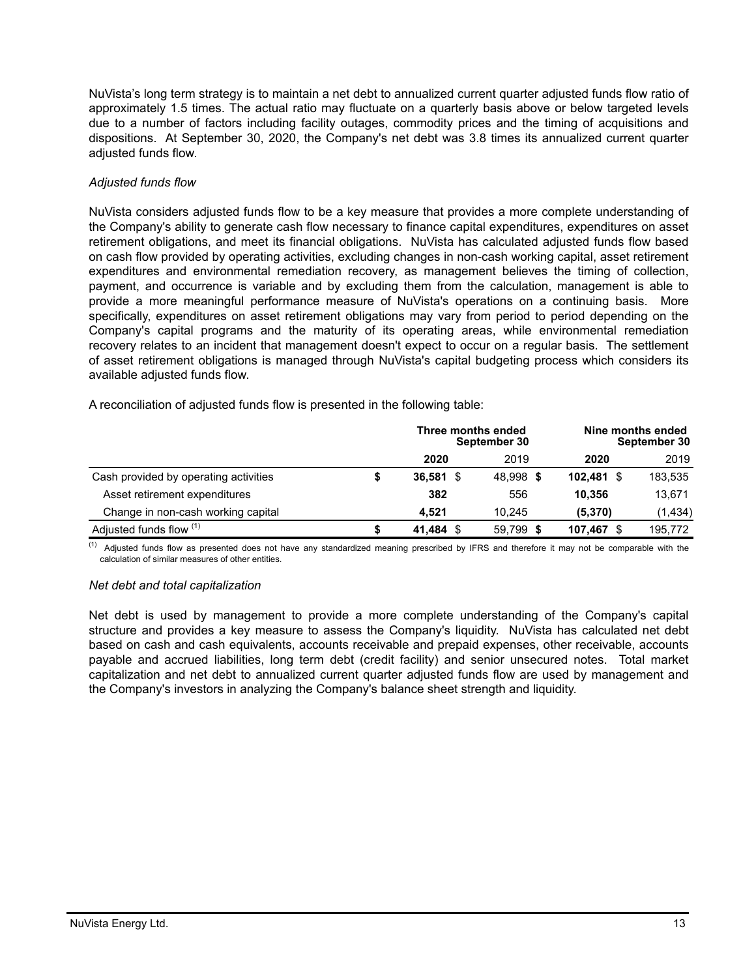NuVista's long term strategy is to maintain a net debt to annualized current quarter adjusted funds flow ratio of approximately 1.5 times. The actual ratio may fluctuate on a quarterly basis above or below targeted levels due to a number of factors including facility outages, commodity prices and the timing of acquisitions and dispositions. At September 30, 2020, the Company's net debt was 3.8 times its annualized current quarter adjusted funds flow.

# *Adjusted funds flow*

NuVista considers adjusted funds flow to be a key measure that provides a more complete understanding of the Company's ability to generate cash flow necessary to finance capital expenditures, expenditures on asset retirement obligations, and meet its financial obligations. NuVista has calculated adjusted funds flow based on cash flow provided by operating activities, excluding changes in non-cash working capital, asset retirement expenditures and environmental remediation recovery, as management believes the timing of collection, payment, and occurrence is variable and by excluding them from the calculation, management is able to provide a more meaningful performance measure of NuVista's operations on a continuing basis. More specifically, expenditures on asset retirement obligations may vary from period to period depending on the Company's capital programs and the maturity of its operating areas, while environmental remediation recovery relates to an incident that management doesn't expect to occur on a regular basis. The settlement of asset retirement obligations is managed through NuVista's capital budgeting process which considers its available adjusted funds flow.

A reconciliation of adjusted funds flow is presented in the following table:

|                                       |             | Three months ended<br>September 30 | Nine months ended<br>September 30 |         |  |  |  |
|---------------------------------------|-------------|------------------------------------|-----------------------------------|---------|--|--|--|
|                                       | 2020        | 2019                               | 2020                              | 2019    |  |  |  |
| Cash provided by operating activities | $36,581$ \$ | 48,998 \$                          | 102,481<br>- \$                   | 183,535 |  |  |  |
| Asset retirement expenditures         | 382         | 556                                | 10.356                            | 13,671  |  |  |  |
| Change in non-cash working capital    | 4.521       | 10.245                             | (5,370)                           | (1,434) |  |  |  |
| Adjusted funds flow (1)               | 41,484 \$   | 59.799<br>- S                      | 107.467                           | 195,772 |  |  |  |

(1) Adjusted funds flow as presented does not have any standardized meaning prescribed by IFRS and therefore it may not be comparable with the calculation of similar measures of other entities.

# *Net debt and total capitalization*

Net debt is used by management to provide a more complete understanding of the Company's capital structure and provides a key measure to assess the Company's liquidity. NuVista has calculated net debt based on cash and cash equivalents, accounts receivable and prepaid expenses, other receivable, accounts payable and accrued liabilities, long term debt (credit facility) and senior unsecured notes. Total market capitalization and net debt to annualized current quarter adjusted funds flow are used by management and the Company's investors in analyzing the Company's balance sheet strength and liquidity.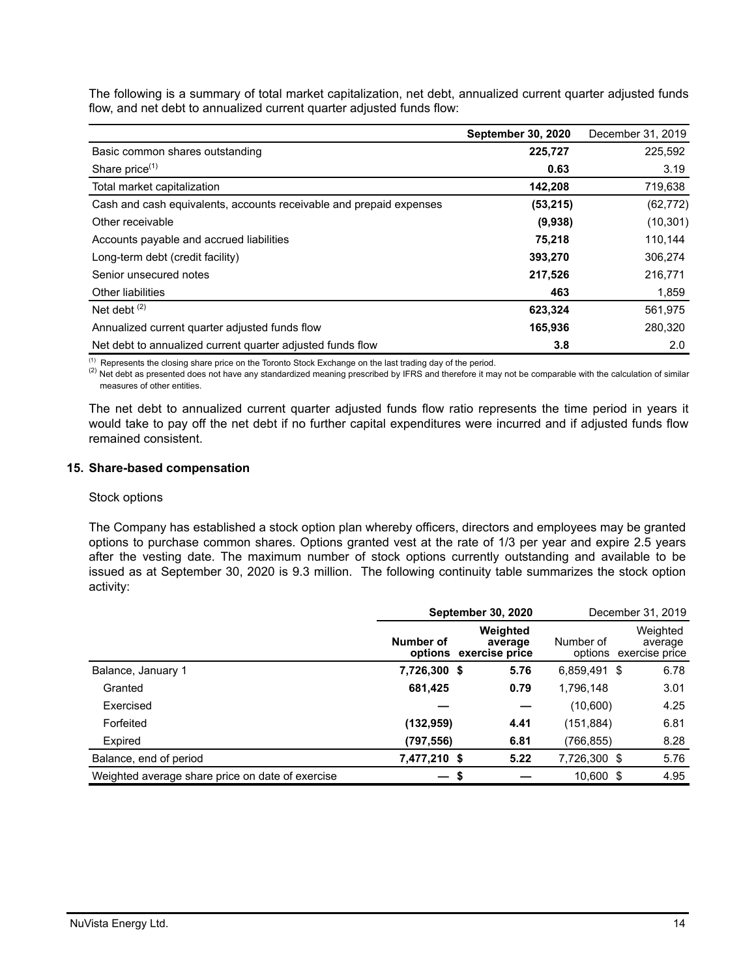The following is a summary of total market capitalization, net debt, annualized current quarter adjusted funds flow, and net debt to annualized current quarter adjusted funds flow:

|                                                                     | <b>September 30, 2020</b> | December 31, 2019 |
|---------------------------------------------------------------------|---------------------------|-------------------|
| Basic common shares outstanding                                     | 225,727                   | 225,592           |
| Share price <sup>(1)</sup>                                          | 0.63                      | 3.19              |
| Total market capitalization                                         | 142,208                   | 719,638           |
| Cash and cash equivalents, accounts receivable and prepaid expenses | (53, 215)                 | (62, 772)         |
| Other receivable                                                    | (9,938)                   | (10, 301)         |
| Accounts payable and accrued liabilities                            | 75.218                    | 110,144           |
| Long-term debt (credit facility)                                    | 393,270                   | 306,274           |
| Senior unsecured notes                                              | 217,526                   | 216,771           |
| <b>Other liabilities</b>                                            | 463                       | 1,859             |
| Net debt $(2)$                                                      | 623,324                   | 561,975           |
| Annualized current quarter adjusted funds flow                      | 165,936                   | 280,320           |
| Net debt to annualized current quarter adjusted funds flow          | 3.8                       | 2.0               |

(1) Represents the closing share price on the Toronto Stock Exchange on the last trading day of the period.

<sup>(2)</sup> Net debt as presented does not have any standardized meaning prescribed by IFRS and therefore it may not be comparable with the calculation of similar measures of other entities.

The net debt to annualized current quarter adjusted funds flow ratio represents the time period in years it would take to pay off the net debt if no further capital expenditures were incurred and if adjusted funds flow remained consistent.

# **15. Share-based compensation**

#### Stock options

The Company has established a stock option plan whereby officers, directors and employees may be granted options to purchase common shares. Options granted vest at the rate of 1/3 per year and expire 2.5 years after the vesting date. The maximum number of stock options currently outstanding and available to be issued as at September 30, 2020 is 9.3 million. The following continuity table summarizes the stock option activity:

|                                                  |              | <b>September 30, 2020</b>                     |                      | December 31, 2019                     |  |  |
|--------------------------------------------------|--------------|-----------------------------------------------|----------------------|---------------------------------------|--|--|
|                                                  | Number of    | Weighted<br>average<br>options exercise price | Number of<br>options | Weighted<br>average<br>exercise price |  |  |
| Balance, January 1                               | 7,726,300 \$ | 5.76                                          | 6,859,491 \$         | 6.78                                  |  |  |
| Granted                                          | 681,425      | 0.79                                          | 1,796,148            | 3.01                                  |  |  |
| Exercised                                        |              |                                               | (10,600)             | 4.25                                  |  |  |
| Forfeited                                        | (132, 959)   | 4.41                                          | (151, 884)           | 6.81                                  |  |  |
| Expired                                          | (797,556)    | 6.81                                          | (766,855)            | 8.28                                  |  |  |
| Balance, end of period                           | 7,477,210 \$ | 5.22                                          | 7,726,300 \$         | 5.76                                  |  |  |
| Weighted average share price on date of exercise | \$           |                                               | 10.600 \$            | 4.95                                  |  |  |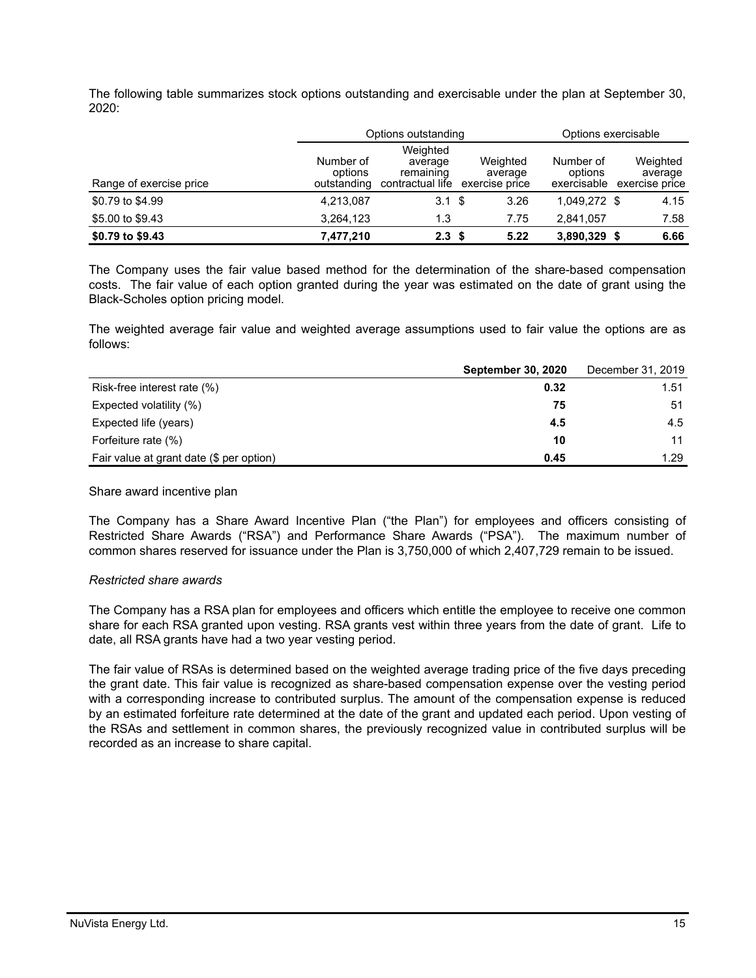The following table summarizes stock options outstanding and exercisable under the plan at September 30, 2020:

|                         |                                     | Options outstanding                                  | Options exercisable                   |                                     |                                       |  |  |
|-------------------------|-------------------------------------|------------------------------------------------------|---------------------------------------|-------------------------------------|---------------------------------------|--|--|
| Range of exercise price | Number of<br>options<br>outstanding | Weighted<br>average<br>remaining<br>contractual life | Weighted<br>average<br>exercise price | Number of<br>options<br>exercisable | Weighted<br>average<br>exercise price |  |  |
| \$0.79 to \$4.99        | 4,213,087                           | 3.1 <sup>5</sup>                                     | 3.26                                  | 1.049.272 \$                        | 4.15                                  |  |  |
| \$5.00 to \$9.43        | 3.264.123                           | 1.3                                                  | 7.75                                  | 2.841.057                           | 7.58                                  |  |  |
| \$0.79 to \$9.43        | 7,477,210                           | 2.3 <sup>5</sup>                                     | 5.22                                  | 3,890,329 \$                        | 6.66                                  |  |  |

The Company uses the fair value based method for the determination of the share-based compensation costs. The fair value of each option granted during the year was estimated on the date of grant using the Black-Scholes option pricing model.

The weighted average fair value and weighted average assumptions used to fair value the options are as follows:

|                                          | <b>September 30, 2020</b> | December 31, 2019 |
|------------------------------------------|---------------------------|-------------------|
| Risk-free interest rate (%)              | 0.32                      | 1.51              |
| Expected volatility (%)                  | 75                        | 51                |
| Expected life (years)                    | 4.5                       | 4.5               |
| Forfeiture rate (%)                      | 10                        | 11                |
| Fair value at grant date (\$ per option) | 0.45                      | 1.29              |

#### Share award incentive plan

The Company has a Share Award Incentive Plan ("the Plan") for employees and officers consisting of Restricted Share Awards ("RSA") and Performance Share Awards ("PSA"). The maximum number of common shares reserved for issuance under the Plan is 3,750,000 of which 2,407,729 remain to be issued.

#### *Restricted share awards*

The Company has a RSA plan for employees and officers which entitle the employee to receive one common share for each RSA granted upon vesting. RSA grants vest within three years from the date of grant. Life to date, all RSA grants have had a two year vesting period.

The fair value of RSAs is determined based on the weighted average trading price of the five days preceding the grant date. This fair value is recognized as share-based compensation expense over the vesting period with a corresponding increase to contributed surplus. The amount of the compensation expense is reduced by an estimated forfeiture rate determined at the date of the grant and updated each period. Upon vesting of the RSAs and settlement in common shares, the previously recognized value in contributed surplus will be recorded as an increase to share capital.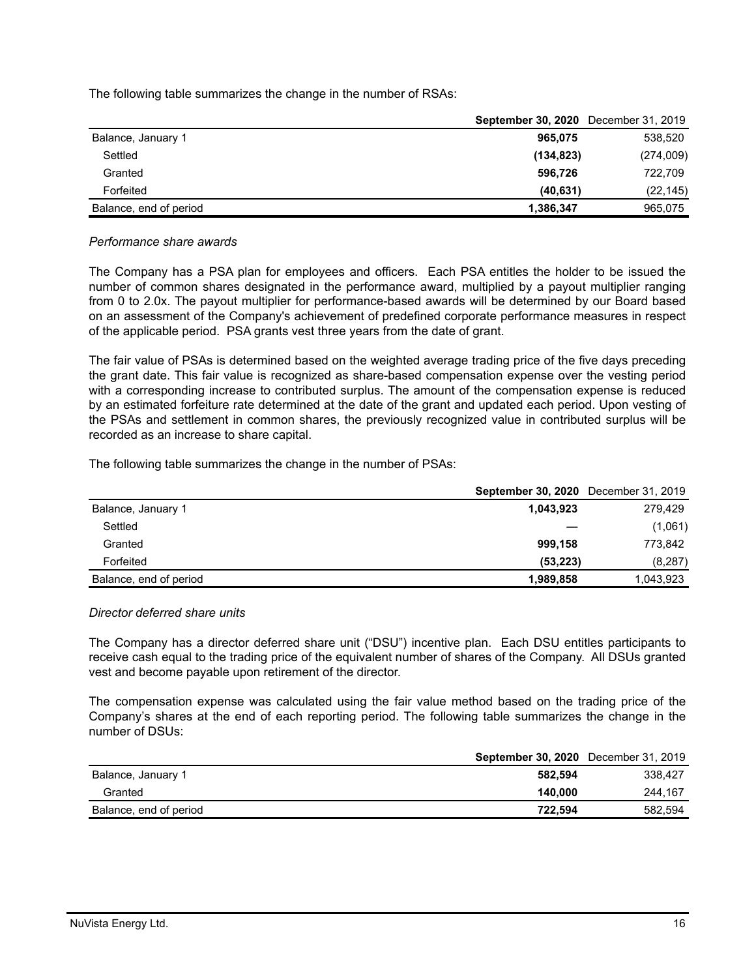The following table summarizes the change in the number of RSAs:

|                        | <b>September 30, 2020</b> December 31, 2019 |           |
|------------------------|---------------------------------------------|-----------|
| Balance, January 1     | 965.075                                     | 538,520   |
| Settled                | (134, 823)                                  | (274,009) |
| Granted                | 596,726                                     | 722,709   |
| Forfeited              | (40, 631)                                   | (22, 145) |
| Balance, end of period | 1,386,347                                   | 965,075   |

#### *Performance share awards*

The Company has a PSA plan for employees and officers. Each PSA entitles the holder to be issued the number of common shares designated in the performance award, multiplied by a payout multiplier ranging from 0 to 2.0x. The payout multiplier for performance-based awards will be determined by our Board based on an assessment of the Company's achievement of predefined corporate performance measures in respect of the applicable period. PSA grants vest three years from the date of grant.

The fair value of PSAs is determined based on the weighted average trading price of the five days preceding the grant date. This fair value is recognized as share-based compensation expense over the vesting period with a corresponding increase to contributed surplus. The amount of the compensation expense is reduced by an estimated forfeiture rate determined at the date of the grant and updated each period. Upon vesting of the PSAs and settlement in common shares, the previously recognized value in contributed surplus will be recorded as an increase to share capital.

The following table summarizes the change in the number of PSAs:

|                        | <b>September 30, 2020</b> December 31, 2019 |           |
|------------------------|---------------------------------------------|-----------|
| Balance, January 1     | 1,043,923                                   | 279.429   |
| Settled                |                                             | (1,061)   |
| Granted                | 999,158                                     | 773.842   |
| Forfeited              | (53.223)                                    | (8, 287)  |
| Balance, end of period | 1,989,858                                   | 1,043,923 |

# *Director deferred share units*

The Company has a director deferred share unit ("DSU") incentive plan. Each DSU entitles participants to receive cash equal to the trading price of the equivalent number of shares of the Company. All DSUs granted vest and become payable upon retirement of the director.

The compensation expense was calculated using the fair value method based on the trading price of the Company's shares at the end of each reporting period. The following table summarizes the change in the number of DSUs:

|                        | <b>September 30, 2020</b> December 31, 2019 |         |
|------------------------|---------------------------------------------|---------|
| Balance, January 1     | 582.594                                     | 338.427 |
| Granted                | 140.000                                     | 244.167 |
| Balance, end of period | 722.594                                     | 582,594 |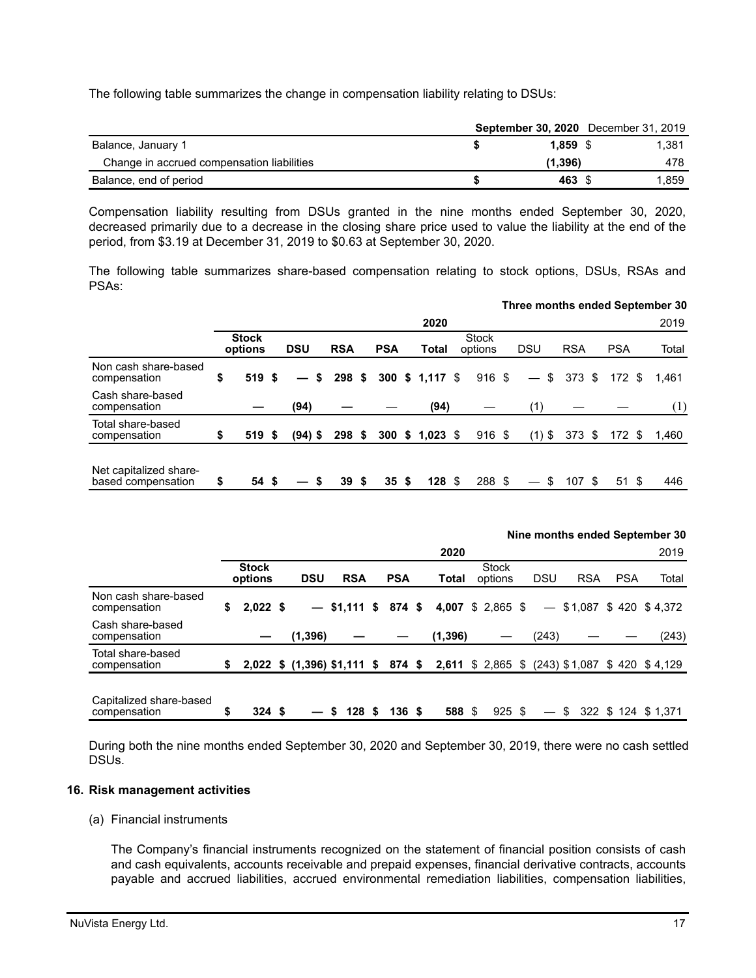The following table summarizes the change in compensation liability relating to DSUs:

|                                            |            | <b>September 30, 2020</b> December 31, 2019 |
|--------------------------------------------|------------|---------------------------------------------|
| Balance, January 1                         | $1.859$ \$ | 1.381                                       |
| Change in accrued compensation liabilities | (1.396)    | 478                                         |
| Balance, end of period                     | 463 \$     | 1.859                                       |

Compensation liability resulting from DSUs granted in the nine months ended September 30, 2020, decreased primarily due to a decrease in the closing share price used to value the liability at the end of the period, from \$3.19 at December 31, 2019 to \$0.63 at September 30, 2020.

The following table summarizes share-based compensation relating to stock options, DSUs, RSAs and PSAs:

|                                              |                         |            |     |            |   |            |                  |                         | Three months ended September 30 |            |            |       |
|----------------------------------------------|-------------------------|------------|-----|------------|---|------------|------------------|-------------------------|---------------------------------|------------|------------|-------|
|                                              |                         |            |     |            |   |            | 2020             |                         |                                 |            |            | 2019  |
|                                              | <b>Stock</b><br>options | <b>DSU</b> |     | <b>RSA</b> |   | <b>PSA</b> | Total            | <b>Stock</b><br>options | <b>DSU</b>                      | <b>RSA</b> | <b>PSA</b> | Total |
| Non cash share-based<br>compensation         | \$<br>519 \$            |            | - S | 298S       |   |            | 300 \$ 1,117 \$  | $916 \text{ } $$        | \$<br>$\qquad \qquad =$         | 373 \$     | 172S       | 1.461 |
| Cash share-based<br>compensation             |                         | (94)       |     |            |   |            | (94)             |                         | (1)                             |            |            | (1)   |
| Total share-based<br>compensation            | \$<br>519S              | $(94)$ \$  |     | 298S       |   |            | 300 \$ 1,023 \$  | $916 \text{ }$ \$       | $(1)$ \$                        | $373.$ \$  | 172S       | 1,460 |
| Net capitalized share-<br>based compensation | \$<br>54 \$             |            | S   | 39         | S | 35S        | 128 <sup>°</sup> | 288 \$                  |                                 | 107S       | 51 S       | 446   |

|                                         |    |                         |                                    |            |                       | 2020     |                         |            |            |            | 2019                                           |
|-----------------------------------------|----|-------------------------|------------------------------------|------------|-----------------------|----------|-------------------------|------------|------------|------------|------------------------------------------------|
|                                         |    | <b>Stock</b><br>options | <b>DSU</b>                         | <b>RSA</b> | <b>PSA</b>            | Total    | <b>Stock</b><br>options | <b>DSU</b> | <b>RSA</b> | <b>PSA</b> | Total                                          |
| Non cash share-based<br>compensation    | S  | $2,022$ \$              |                                    |            | $-$ \$1,111 \$ 874 \$ | 4,007    | $$2,865$ \$             |            |            |            | $-$ \$1,087 \$420 \$4,372                      |
| Cash share-based<br>compensation        |    |                         | (1, 396)                           |            |                       | (1, 396) |                         | (243)      |            |            | (243)                                          |
| Total share-based<br>compensation       | \$ |                         | 2,022 \$ (1,396) \$1,111 \$ 874 \$ |            |                       |          |                         |            |            |            | 2,611 \$ 2,865 \$ (243) \$1,087 \$ 420 \$4,129 |
| Capitalized share-based<br>compensation | S  | 324S                    |                                    | 128S       | 136S                  | 588 \$   | $925$ \$                |            | \$         |            | 322 \$ 124 \$ 1.371                            |

During both the nine months ended September 30, 2020 and September 30, 2019, there were no cash settled DSUs.

## **16. Risk management activities**

(a) Financial instruments

The Company's financial instruments recognized on the statement of financial position consists of cash and cash equivalents, accounts receivable and prepaid expenses, financial derivative contracts, accounts payable and accrued liabilities, accrued environmental remediation liabilities, compensation liabilities,

**Nine months ended September 30**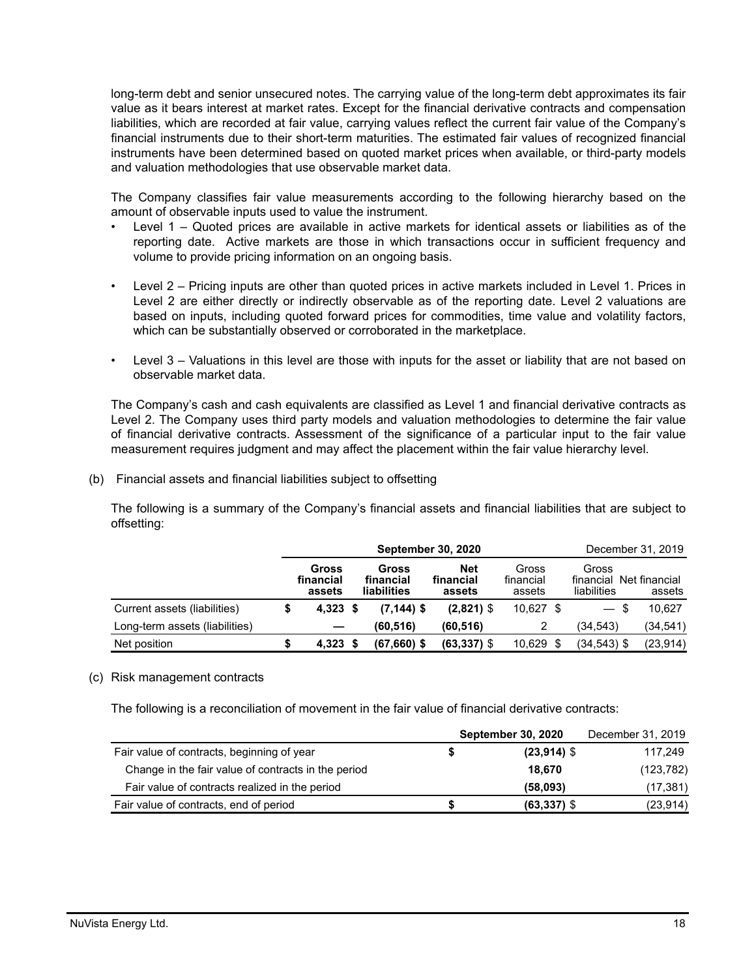long-term debt and senior unsecured notes. The carrying value of the long-term debt approximates its fair value as it bears interest at market rates. Except for the financial derivative contracts and compensation liabilities, which are recorded at fair value, carrying values reflect the current fair value of the Company's financial instruments due to their short-term maturities. The estimated fair values of recognized financial instruments have been determined based on quoted market prices when available, or third-party models and valuation methodologies that use observable market data.

The Company classifies fair value measurements according to the following hierarchy based on the amount of observable inputs used to value the instrument.

- Level 1 Quoted prices are available in active markets for identical assets or liabilities as of the reporting date. Active markets are those in which transactions occur in sufficient frequency and volume to provide pricing information on an ongoing basis.
- Level 2 Pricing inputs are other than quoted prices in active markets included in Level 1. Prices in Level 2 are either directly or indirectly observable as of the reporting date. Level 2 valuations are based on inputs, including quoted forward prices for commodities, time value and volatility factors, which can be substantially observed or corroborated in the marketplace.
- Level 3 Valuations in this level are those with inputs for the asset or liability that are not based on observable market data.

The Company's cash and cash equivalents are classified as Level 1 and financial derivative contracts as Level 2. The Company uses third party models and valuation methodologies to determine the fair value of financial derivative contracts. Assessment of the significance of a particular input to the fair value measurement requires judgment and may affect the placement within the fair value hierarchy level.

(b) Financial assets and financial liabilities subject to offsetting

The following is a summary of the Company's financial assets and financial liabilities that are subject to offsetting:

|                                | <b>September 30, 2020</b>    |  |                                          |                                   |                              |  | December 31, 2019                               |           |  |  |
|--------------------------------|------------------------------|--|------------------------------------------|-----------------------------------|------------------------------|--|-------------------------------------------------|-----------|--|--|
|                                | Gross<br>financial<br>assets |  | Gross<br>financial<br><b>liabilities</b> | <b>Net</b><br>financial<br>assets | Gross<br>financial<br>assets |  | Gross<br>financial Net financial<br>liabilities | assets    |  |  |
| Current assets (liabilities)   | $4,323$ \$                   |  | $(7, 144)$ \$                            | $(2,821)$ \$                      | $10,627$ \$                  |  | - \$<br>$\qquad \qquad -$                       | 10.627    |  |  |
| Long-term assets (liabilities) |                              |  | (60, 516)                                | (60, 516)                         |                              |  | (34,543)                                        | (34,541)  |  |  |
| Net position                   | $4.323$ \$                   |  | $(67,660)$ \$                            | $(63, 337)$ \$                    | $10,629$ \$                  |  | (34,543) \$                                     | (23, 914) |  |  |

# (c) Risk management contracts

The following is a reconciliation of movement in the fair value of financial derivative contracts:

|                                                     |   | <b>September 30, 2020</b> | December 31, 2019 |
|-----------------------------------------------------|---|---------------------------|-------------------|
| Fair value of contracts, beginning of year          |   | $(23,914)$ \$             | 117,249           |
| Change in the fair value of contracts in the period |   | 18.670                    | (123, 782)        |
| Fair value of contracts realized in the period      |   | (58.093)                  | (17, 381)         |
| Fair value of contracts, end of period              | S | $(63, 337)$ \$            | (23, 914)         |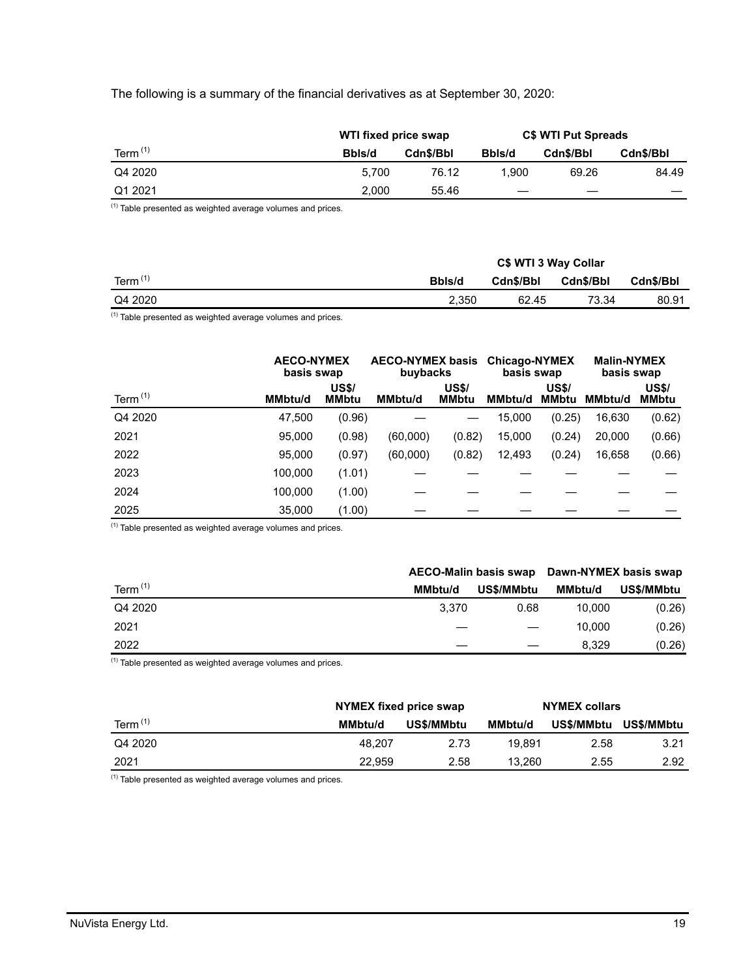# The following is a summary of the financial derivatives as at September 30, 2020:

|            | WTI fixed price swap |           | <b>C\$ WTI Put Spreads</b> |           |           |  |
|------------|----------------------|-----------|----------------------------|-----------|-----------|--|
| Term $(1)$ | Bbls/d               | Cdn\$/Bbl | Bbls/d                     | Cdn\$/Bbl | Cdn\$/Bbl |  |
| Q4 2020    | 5.700                | 76.12     | 1.900                      | 69.26     | 84.49     |  |
| Q1 2021    | 2.000                | 55.46     | —                          |           |           |  |

(1) Table presented as weighted average volumes and prices.

|            |        | C\$ WTI 3 Way Collar |           |           |  |  |  |
|------------|--------|----------------------|-----------|-----------|--|--|--|
| Term $(1)$ | Bbls/d | Cdn\$/Bbl            | Cdn\$/Bbl | Cdn\$/Bbl |  |  |  |
| Q4 2020    | 2.350  | 62.45                | 73.34     | 80.91     |  |  |  |

 $(1)$  Table presented as weighted average volumes and prices.

|            |                | <b>AECO-NYMEX</b><br>basis swap |                | <b>AECO-NYMEX basis</b><br>buybacks |                | <b>Chicago-NYMEX</b><br>basis swap | <b>Malin-NYMEX</b><br>basis swap |                              |
|------------|----------------|---------------------------------|----------------|-------------------------------------|----------------|------------------------------------|----------------------------------|------------------------------|
| Term $(1)$ | <b>MMbtu/d</b> | <b>US\$/</b><br><b>MMbtu</b>    | <b>MMbtu/d</b> | <b>US\$/</b><br><b>MMbtu</b>        | <b>MMbtu/d</b> | <b>US\$/</b><br><b>MMbtu</b>       | <b>MMbtu/d</b>                   | <b>US\$/</b><br><b>MMbtu</b> |
| Q4 2020    | 47.500         | (0.96)                          |                |                                     | 15,000         | (0.25)                             | 16,630                           | (0.62)                       |
| 2021       | 95,000         | (0.98)                          | (60,000)       | (0.82)                              | 15,000         | (0.24)                             | 20,000                           | (0.66)                       |
| 2022       | 95,000         | (0.97)                          | (60,000)       | (0.82)                              | 12,493         | (0.24)                             | 16,658                           | (0.66)                       |
| 2023       | 100,000        | (1.01)                          |                |                                     |                |                                    |                                  |                              |
| 2024       | 100,000        | (1.00)                          |                |                                     |                |                                    |                                  |                              |
| 2025       | 35,000         | (1.00)                          |                |                                     |                |                                    |                                  |                              |

 $(1)$  Table presented as weighted average volumes and prices.

|            |         |            | AECO-Malin basis swap Dawn-NYMEX basis swap |            |  |
|------------|---------|------------|---------------------------------------------|------------|--|
| Term $(1)$ | MMbtu/d | US\$/MMbtu | MMbtu/d                                     | US\$/MMbtu |  |
| Q4 2020    | 3.370   | 0.68       | 10.000                                      | (0.26)     |  |
| 2021       |         |            | 10.000                                      | (0.26)     |  |
| 2022       |         |            | 8.329                                       | (0.26)     |  |
| $143 -$    |         |            |                                             |            |  |

 $(1)$  Table presented as weighted average volumes and prices.

|            | NYMEX fixed price swap |            | <b>NYMEX collars</b> |            |            |
|------------|------------------------|------------|----------------------|------------|------------|
| Term $(1)$ | <b>MMbtu/d</b>         | US\$/MMbtu | <b>MMbtu/d</b>       | US\$/MMbtu | US\$/MMbtu |
| Q4 2020    | 48.207                 | 2.73       | 19.891               | 2.58       | 3.21       |
| 2021       | 22.959                 | 2.58       | 13.260               | 2.55       | 2.92       |

 $(1)$  Table presented as weighted average volumes and prices.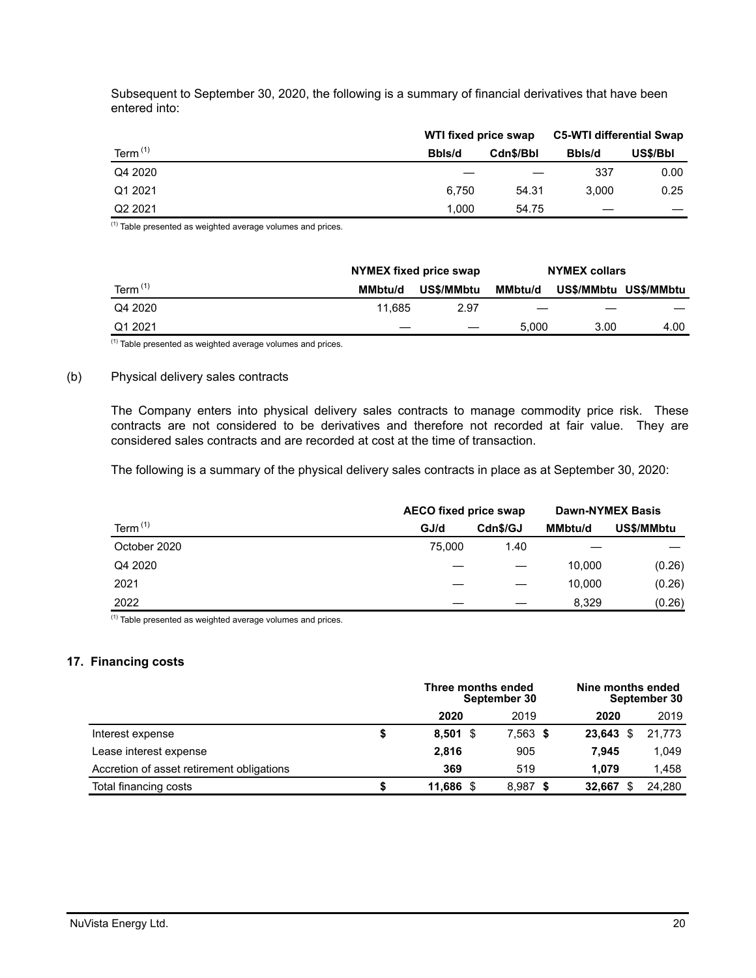Subsequent to September 30, 2020, the following is a summary of financial derivatives that have been entered into:

|                     | WTI fixed price swap |           | <b>C5-WTI differential Swap</b> |          |  |
|---------------------|----------------------|-----------|---------------------------------|----------|--|
| Term $(1)$          | Bbls/d               | Cdn\$/Bbl | Bbls/d                          | US\$/Bbl |  |
| Q4 2020             |                      |           | 337                             | 0.00     |  |
| Q1 2021             | 6.750                | 54.31     | 3.000                           | 0.25     |  |
| Q <sub>2</sub> 2021 | 1.000                | 54.75     |                                 |          |  |

 $(1)$  Table presented as weighted average volumes and prices.

|            |         | NYMEX fixed price swap |                   | <b>NYMEX collars</b> |                       |
|------------|---------|------------------------|-------------------|----------------------|-----------------------|
| Term $(1)$ | MMbtu/d | <b>US\$/MMbtu</b>      | MMbtu/d           |                      | US\$/MMbtu US\$/MMbtu |
| Q4 2020    | 11.685  | 2.97                   | $\hspace{0.05cm}$ |                      |                       |
| Q1 2021    |         |                        | 5.000             | 3.00                 | 4.00                  |

 $(1)$  Table presented as weighted average volumes and prices.

## (b) Physical delivery sales contracts

The Company enters into physical delivery sales contracts to manage commodity price risk. These contracts are not considered to be derivatives and therefore not recorded at fair value. They are considered sales contracts and are recorded at cost at the time of transaction.

The following is a summary of the physical delivery sales contracts in place as at September 30, 2020:

|              | <b>AECO fixed price swap</b> | <b>Dawn-NYMEX Basis</b> |                |            |
|--------------|------------------------------|-------------------------|----------------|------------|
| Term $(1)$   | GJ/d                         | Cdn\$/GJ                | <b>MMbtu/d</b> | US\$/MMbtu |
| October 2020 | 75,000                       | 1.40                    |                |            |
| Q4 2020      |                              |                         | 10.000         | (0.26)     |
| 2021         |                              |                         | 10.000         | (0.26)     |
| 2022         |                              |                         | 8.329          | (0.26)     |

 $(1)$  Table presented as weighted average volumes and prices.

## **17. Financing costs**

|                                           |            | Three months ended<br>September 30 |        | Nine months ended<br>September 30 |  |  |
|-------------------------------------------|------------|------------------------------------|--------|-----------------------------------|--|--|
|                                           | 2020       | 2019                               | 2020   | 2019                              |  |  |
| Interest expense                          | $8,501$ \$ | 7,563 \$                           | 23.643 | 21.773                            |  |  |
| Lease interest expense                    | 2.816      | 905                                | 7.945  | 1,049                             |  |  |
| Accretion of asset retirement obligations | 369        | 519                                | 1.079  | 1.458                             |  |  |
| Total financing costs                     | 11.686 \$  | 8,987                              | 32.667 | 24.280                            |  |  |